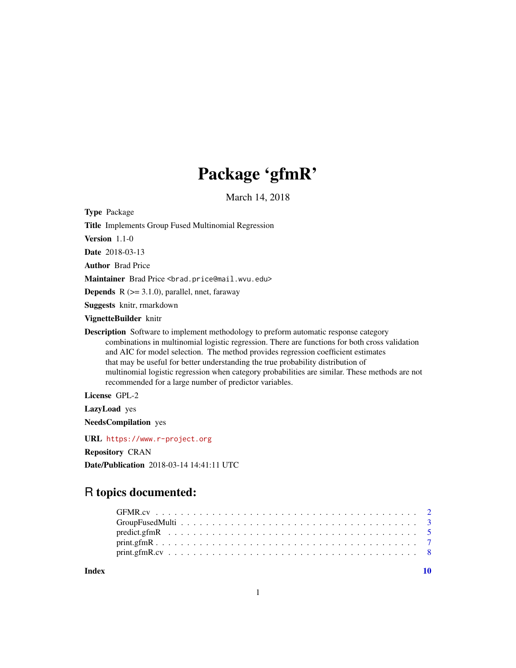# Package 'gfmR'

March 14, 2018

Type Package

Title Implements Group Fused Multinomial Regression

Version 1.1-0

Date 2018-03-13

Author Brad Price

Maintainer Brad Price <brad.price@mail.wvu.edu>

**Depends** R  $(>= 3.1.0)$ , parallel, nnet, faraway

Suggests knitr, rmarkdown

VignetteBuilder knitr

Description Software to implement methodology to preform automatic response category combinations in multinomial logistic regression. There are functions for both cross validation and AIC for model selection. The method provides regression coefficient estimates that may be useful for better understanding the true probability distribution of multinomial logistic regression when category probabilities are similar. These methods are not recommended for a large number of predictor variables.

License GPL-2

LazyLoad yes

NeedsCompilation yes

URL <https://www.r-project.org>

Repository CRAN

Date/Publication 2018-03-14 14:41:11 UTC

# R topics documented:

 $\blacksquare$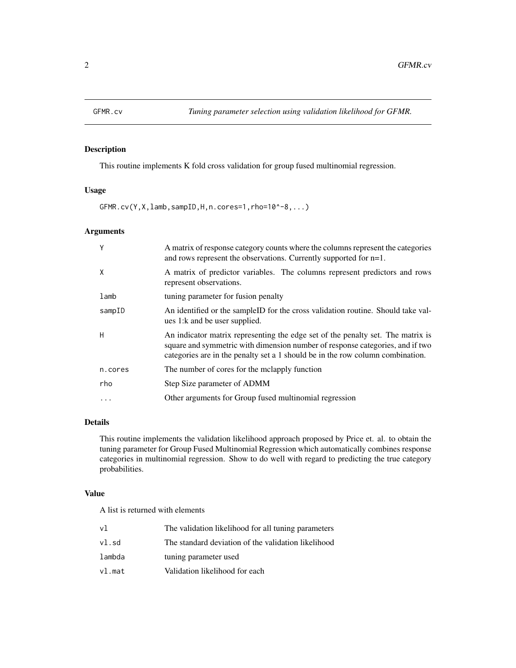<span id="page-1-0"></span>

This routine implements K fold cross validation for group fused multinomial regression.

# Usage

GFMR.cv(Y,X,lamb,sampID,H,n.cores=1,rho=10^-8,...)

# Arguments

| Y       | A matrix of response category counts where the columns represent the categories<br>and rows represent the observations. Currently supported for $n=1$ .                                                                                            |
|---------|----------------------------------------------------------------------------------------------------------------------------------------------------------------------------------------------------------------------------------------------------|
| X       | A matrix of predictor variables. The columns represent predictors and rows<br>represent observations.                                                                                                                                              |
| lamb    | tuning parameter for fusion penalty                                                                                                                                                                                                                |
| sampID  | An identified or the sampleID for the cross validation routine. Should take val-<br>ues 1: k and be user supplied.                                                                                                                                 |
| H       | An indicator matrix representing the edge set of the penalty set. The matrix is<br>square and symmetric with dimension number of response categories, and if two<br>categories are in the penalty set a 1 should be in the row column combination. |
| n.cores | The number of cores for the melapply function                                                                                                                                                                                                      |
| rho     | Step Size parameter of ADMM                                                                                                                                                                                                                        |
| .       | Other arguments for Group fused multinomial regression                                                                                                                                                                                             |

# Details

This routine implements the validation likelihood approach proposed by Price et. al. to obtain the tuning parameter for Group Fused Multinomial Regression which automatically combines response categories in multinomial regression. Show to do well with regard to predicting the true category probabilities.

#### Value

A list is returned with elements

| vl     | The validation likelihood for all tuning parameters |
|--------|-----------------------------------------------------|
| vl.sd  | The standard deviation of the validation likelihood |
| lambda | tuning parameter used                               |
| vl.mat | Validation likelihood for each                      |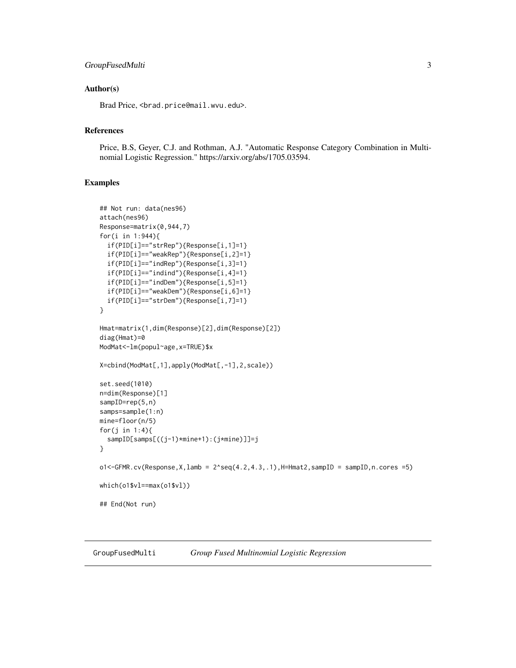# <span id="page-2-0"></span>GroupFusedMulti 3

#### Author(s)

Brad Price, <brad.price@mail.wvu.edu>.

# References

Price, B.S, Geyer, C.J. and Rothman, A.J. "Automatic Response Category Combination in Multinomial Logistic Regression." https://arxiv.org/abs/1705.03594.

#### Examples

```
## Not run: data(nes96)
attach(nes96)
Response=matrix(0,944,7)
for(i in 1:944){
  if(PID[i]=="strRep"){Response[i,1]=1}
  if(PID[i]=="weakRep"){Response[i,2]=1}
  if(PID[i]=="indRep"){Response[i,3]=1}
  if(PID[i]=="indind"){Response[i,4]=1}
  if(PID[i]=="indDem"){Response[i,5]=1}
  if(PID[i]=="weakDem"){Response[i,6]=1}
  if(PID[i]=="strDem"){Response[i,7]=1}
}
Hmat=matrix(1,dim(Response)[2],dim(Response)[2])
diag(Hmat)=0
ModMat<-lm(popul~age,x=TRUE)$x
X=cbind(ModMat[,1],apply(ModMat[,-1],2,scale))
set.seed(1010)
n=dim(Response)[1]
sampID=rep(5,n)
samps=sample(1:n)
mine=floor(n/5)
for(j in 1:4){
  sampID[samps[((j-1)*mine+1):(j*mine)]]=j
}
o1 < -GFMR.cv(Response, X, lamb = 2 \text{ } seq(4.2, 4.3, .1), H=Hmat2, sampID = sampID, n. cores = 5)which(o1$vl==max(o1$vl))
## End(Not run)
```
GroupFusedMulti *Group Fused Multinomial Logistic Regression*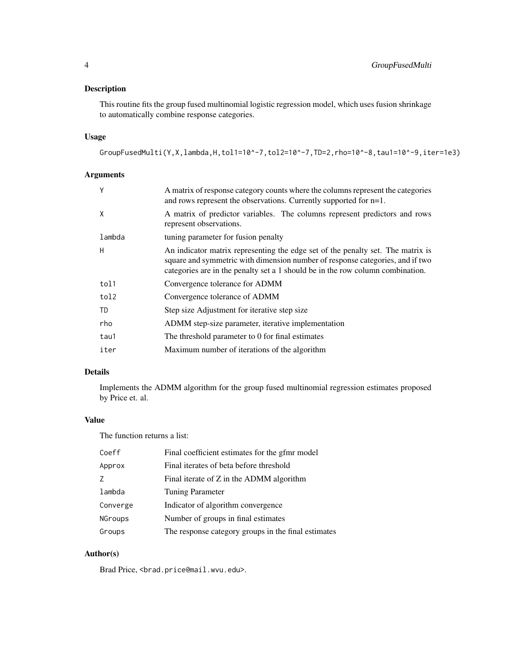This routine fits the group fused multinomial logistic regression model, which uses fusion shrinkage to automatically combine response categories.

#### Usage

```
GroupFusedMulti(Y,X,lambda,H,tol1=10^-7,tol2=10^-7,TD=2,rho=10^-8,tau1=10^-9,iter=1e3)
```
# Arguments

| A matrix of response category counts where the columns represent the categories<br>and rows represent the observations. Currently supported for n=1.                                                                                               |
|----------------------------------------------------------------------------------------------------------------------------------------------------------------------------------------------------------------------------------------------------|
| A matrix of predictor variables. The columns represent predictors and rows<br>represent observations.                                                                                                                                              |
| tuning parameter for fusion penalty                                                                                                                                                                                                                |
| An indicator matrix representing the edge set of the penalty set. The matrix is<br>square and symmetric with dimension number of response categories, and if two<br>categories are in the penalty set a 1 should be in the row column combination. |
| Convergence tolerance for ADMM                                                                                                                                                                                                                     |
| Convergence tolerance of ADMM                                                                                                                                                                                                                      |
| Step size Adjustment for iterative step size                                                                                                                                                                                                       |
| ADMM step-size parameter, iterative implementation                                                                                                                                                                                                 |
| The threshold parameter to 0 for final estimates                                                                                                                                                                                                   |
| Maximum number of iterations of the algorithm                                                                                                                                                                                                      |
|                                                                                                                                                                                                                                                    |

# Details

Implements the ADMM algorithm for the group fused multinomial regression estimates proposed by Price et. al.

# Value

The function returns a list:

| Coeff          | Final coefficient estimates for the gfmr model      |
|----------------|-----------------------------------------------------|
| Approx         | Final iterates of beta before threshold             |
| 7              | Final iterate of Z in the ADMM algorithm            |
| lambda         | <b>Tuning Parameter</b>                             |
| Converge       | Indicator of algorithm convergence                  |
| <b>NGroups</b> | Number of groups in final estimates                 |
| Groups         | The response category groups in the final estimates |

# Author(s)

Brad Price, <brad.price@mail.wvu.edu>.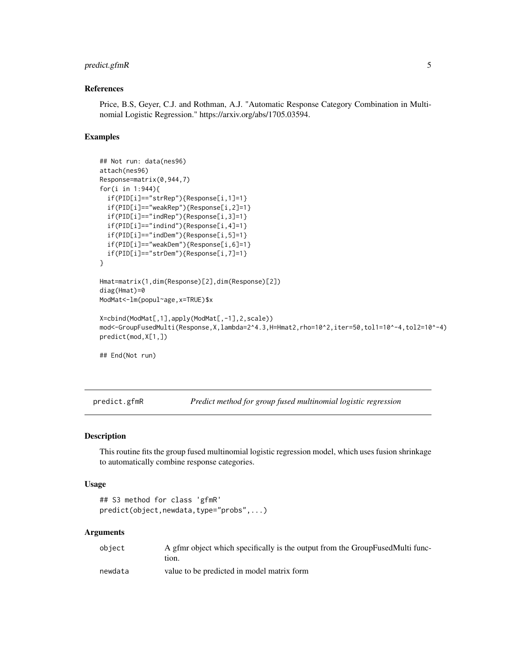# <span id="page-4-0"></span>predict.gfmR 5

#### References

Price, B.S, Geyer, C.J. and Rothman, A.J. "Automatic Response Category Combination in Multinomial Logistic Regression." https://arxiv.org/abs/1705.03594.

#### Examples

```
## Not run: data(nes96)
attach(nes96)
Response=matrix(0,944,7)
for(i in 1:944){
  if(PID[i]=="strRep"){Response[i,1]=1}
  if(PID[i]=="weakRep"){Response[i,2]=1}
  if(PID[i]=="indRep"){Response[i,3]=1}
  if(PID[i]=="indind"){Response[i,4]=1}
  if(PID[i]=="indDem"){Response[i,5]=1}
  if(PID[i]=="weakDem"){Response[i,6]=1}
  if(PID[i]=="strDem"){Response[i,7]=1}
}
Hmat=matrix(1,dim(Response)[2],dim(Response)[2])
diag(Hmat)=0
ModMat<-lm(popul~age,x=TRUE)$x
X=cbind(ModMat[,1],apply(ModMat[,-1],2,scale))
mod<-GroupFusedMulti(Response,X,lambda=2^4.3,H=Hmat2,rho=10^2,iter=50,tol1=10^-4,tol2=10^-4)
predict(mod,X[1,])
## End(Not run)
```
predict.gfmR *Predict method for group fused multinomial logistic regression*

# Description

This routine fits the group fused multinomial logistic regression model, which uses fusion shrinkage to automatically combine response categories.

#### Usage

```
## S3 method for class 'gfmR'
predict(object,newdata,type="probs",...)
```
#### Arguments

| object  | A gfmr object which specifically is the output from the GroupFusedMulti func-<br>tion. |
|---------|----------------------------------------------------------------------------------------|
| newdata | value to be predicted in model matrix form                                             |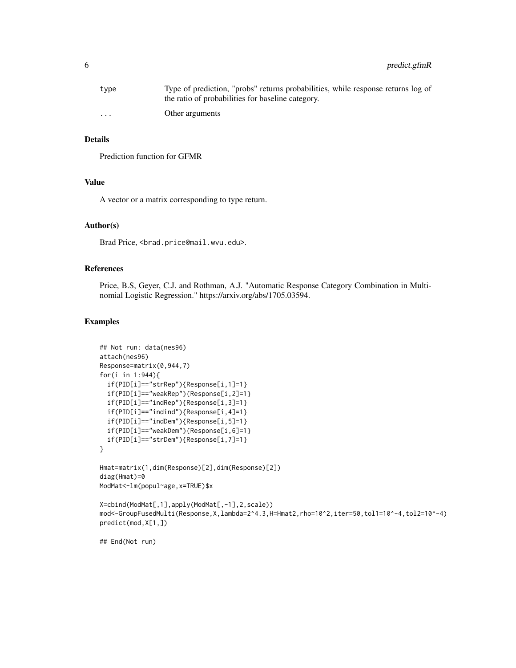| type                 | Type of prediction, "probs" returns probabilities, while response returns log of<br>the ratio of probabilities for baseline category. |
|----------------------|---------------------------------------------------------------------------------------------------------------------------------------|
| $\ddot{\phantom{0}}$ | Other arguments                                                                                                                       |

# Details

Prediction function for GFMR

# Value

A vector or a matrix corresponding to type return.

#### Author(s)

Brad Price, <brad.price@mail.wvu.edu>.

# References

Price, B.S, Geyer, C.J. and Rothman, A.J. "Automatic Response Category Combination in Multinomial Logistic Regression." https://arxiv.org/abs/1705.03594.

#### Examples

```
## Not run: data(nes96)
attach(nes96)
Response=matrix(0,944,7)
for(i in 1:944){
  if(PID[i]=="strRep"){Response[i,1]=1}
  if(PID[i]=="weakRep"){Response[i,2]=1}
  if(PID[i]=="indRep"){Response[i,3]=1}
  if(PID[i]=="indind"){Response[i,4]=1}
  if(PID[i]=="indDem"){Response[i,5]=1}
  if(PID[i]=="weakDem"){Response[i,6]=1}
  if(PID[i]=="strDem"){Response[i,7]=1}
}
Hmat=matrix(1,dim(Response)[2],dim(Response)[2])
diag(Hmat)=0
ModMat<-lm(popul~age,x=TRUE)$x
X=cbind(ModMat[,1],apply(ModMat[,-1],2,scale))
mod<-GroupFusedMulti(Response,X,lambda=2^4.3,H=Hmat2,rho=10^2,iter=50,tol1=10^-4,tol2=10^-4)
predict(mod,X[1,])
## End(Not run)
```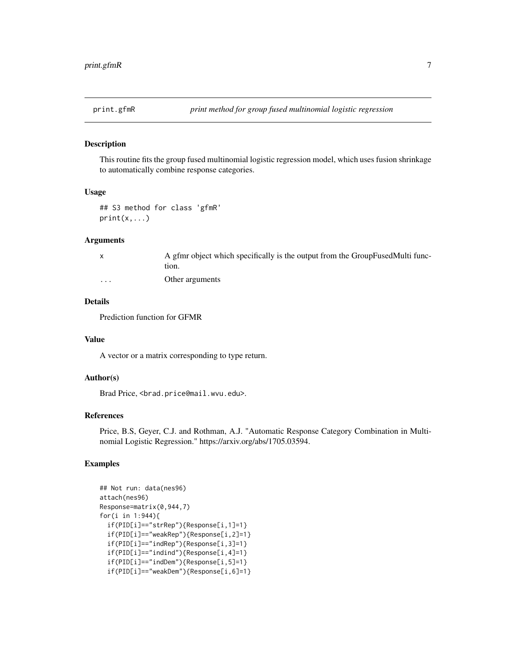<span id="page-6-0"></span>

This routine fits the group fused multinomial logistic regression model, which uses fusion shrinkage to automatically combine response categories.

#### Usage

```
## S3 method for class 'gfmR'
print(x, \ldots)
```
#### Arguments

|   | A gfmr object which specifically is the output from the GroupFusedMulti func- |
|---|-------------------------------------------------------------------------------|
|   | tion.                                                                         |
| . | Other arguments                                                               |

# Details

Prediction function for GFMR

#### Value

A vector or a matrix corresponding to type return.

#### Author(s)

Brad Price, <brad.price@mail.wvu.edu>.

# References

Price, B.S, Geyer, C.J. and Rothman, A.J. "Automatic Response Category Combination in Multinomial Logistic Regression." https://arxiv.org/abs/1705.03594.

# Examples

```
## Not run: data(nes96)
attach(nes96)
Response=matrix(0,944,7)
for(i in 1:944){
 if(PID[i]=="strRep"){Response[i,1]=1}
 if(PID[i]=="weakRep"){Response[i,2]=1}
 if(PID[i]=="indRep"){Response[i,3]=1}
 if(PID[i]=="indind"){Response[i,4]=1}
 if(PID[i]=="indDem"){Response[i,5]=1}
 if(PID[i]=="weakDem"){Response[i,6]=1}
```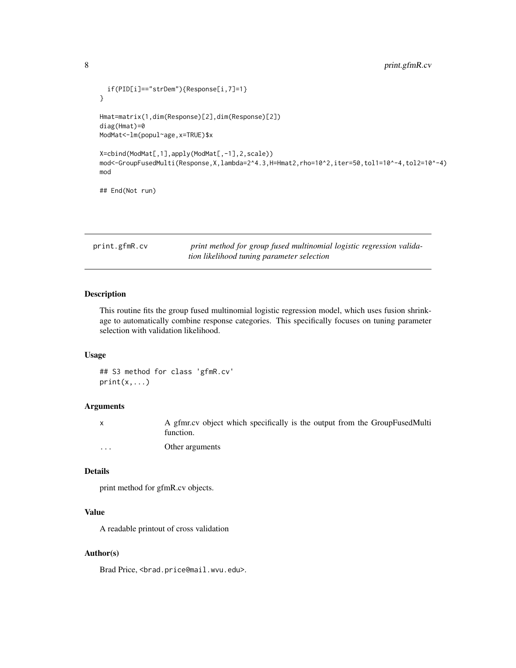```
if(PID[i]=="strDem"){Response[i,7]=1}
}
Hmat=matrix(1,dim(Response)[2],dim(Response)[2])
diag(Hmat)=0
ModMat<-lm(popul~age,x=TRUE)$x
X=cbind(ModMat[,1],apply(ModMat[,-1],2,scale))
mod<-GroupFusedMulti(Response,X,lambda=2^4.3,H=Hmat2,rho=10^2,iter=50,tol1=10^-4,tol2=10^-4)
mod
## End(Not run)
```

| print.gfmR.cv                              | print method for group fused multinomial logistic regression valida- |  |  |  |  |
|--------------------------------------------|----------------------------------------------------------------------|--|--|--|--|
| tion likelihood tuning parameter selection |                                                                      |  |  |  |  |

This routine fits the group fused multinomial logistic regression model, which uses fusion shrinkage to automatically combine response categories. This specifically focuses on tuning parameter selection with validation likelihood.

# Usage

## S3 method for class 'gfmR.cv'  $print(x, \ldots)$ 

#### Arguments

x A gfmr.cv object which specifically is the output from the GroupFusedMulti function.

... Other arguments

#### Details

print method for gfmR.cv objects.

#### Value

A readable printout of cross validation

# Author(s)

Brad Price, <brad.price@mail.wvu.edu>.

<span id="page-7-0"></span>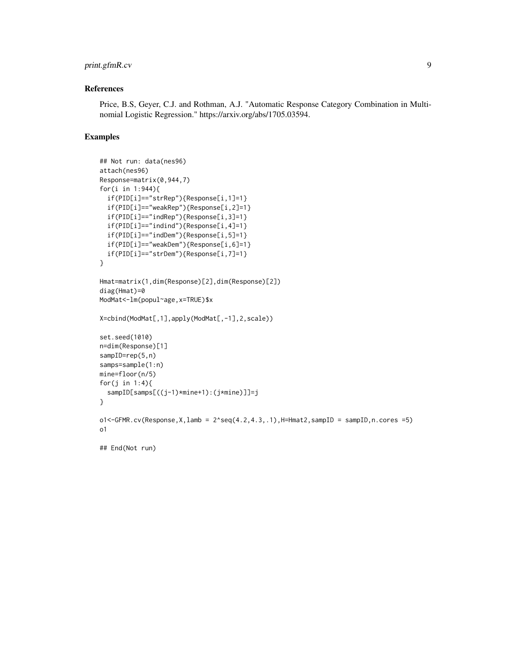# print.gfmR.cv 9

# References

Price, B.S, Geyer, C.J. and Rothman, A.J. "Automatic Response Category Combination in Multinomial Logistic Regression." https://arxiv.org/abs/1705.03594.

#### Examples

```
## Not run: data(nes96)
attach(nes96)
Response=matrix(0,944,7)
for(i in 1:944){
  if(PID[i]=="strRep"){Response[i,1]=1}
  if(PID[i]=="weakRep"){Response[i,2]=1}
  if(PID[i]=="indRep"){Response[i,3]=1}
  if(PID[i]=="indind"){Response[i,4]=1}
  if(PID[i]=="indDem"){Response[i,5]=1}
  if(PID[i]=="weakDem"){Response[i,6]=1}
  if(PID[i]=="strDem"){Response[i,7]=1}
}
Hmat=matrix(1,dim(Response)[2],dim(Response)[2])
diag(Hmat)=0
ModMat<-lm(popul~age,x=TRUE)$x
X=cbind(ModMat[,1],apply(ModMat[,-1],2,scale))
set.seed(1010)
n=dim(Response)[1]
sampID=rep(5,n)
samps=sample(1:n)
mine=floor(n/5)
for(j in 1:4){
  sampID[samps[((j-1)*mine+1):(j*mine)]]=j
}
o1 < -GFMR.cv(Response, X, lamb = 2 \text{ } seq(4.2, 4.3, .1), H=Hmat2, sampID = sampID, n. cores = 5)o1
```
## End(Not run)